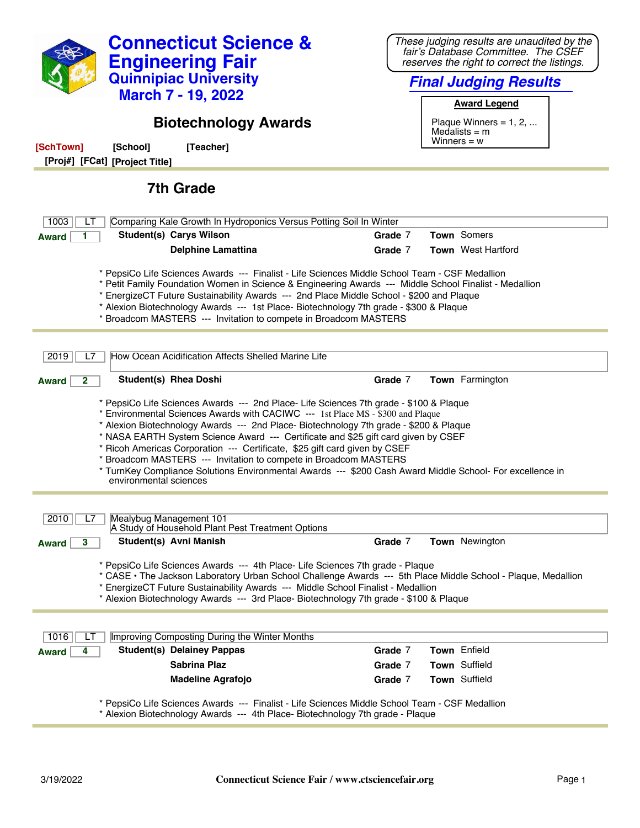| <b>Connecticut Science &amp;</b><br><b>Engineering Fair</b><br><b>Quinnipiac University</b><br><b>March 7 - 19, 2022</b><br><b>Biotechnology Awards</b>                                                                                                                                                                                                                                                                                                                                                                                                                                                                                            | These judging results are unaudited by the<br>fair's Database Committee. The CSEF<br>reserves the right to correct the listings.<br><b>Final Judging Results</b><br><b>Award Legend</b><br>Plaque Winners = $1, 2, $ |  |
|----------------------------------------------------------------------------------------------------------------------------------------------------------------------------------------------------------------------------------------------------------------------------------------------------------------------------------------------------------------------------------------------------------------------------------------------------------------------------------------------------------------------------------------------------------------------------------------------------------------------------------------------------|----------------------------------------------------------------------------------------------------------------------------------------------------------------------------------------------------------------------|--|
| [SchTown]<br>[Teacher]<br>[School]<br>[Proj#] [FCat] [Project Title]                                                                                                                                                                                                                                                                                                                                                                                                                                                                                                                                                                               | Medalists $=$ m<br>Winners $= w$                                                                                                                                                                                     |  |
| <b>7th Grade</b>                                                                                                                                                                                                                                                                                                                                                                                                                                                                                                                                                                                                                                   |                                                                                                                                                                                                                      |  |
| 1003<br>Comparing Kale Growth In Hydroponics Versus Potting Soil In Winter<br>LI                                                                                                                                                                                                                                                                                                                                                                                                                                                                                                                                                                   |                                                                                                                                                                                                                      |  |
| <b>Student(s) Carys Wilson</b><br><b>Award</b>                                                                                                                                                                                                                                                                                                                                                                                                                                                                                                                                                                                                     | Town Somers<br>Grade 7                                                                                                                                                                                               |  |
| <b>Delphine Lamattina</b>                                                                                                                                                                                                                                                                                                                                                                                                                                                                                                                                                                                                                          | <b>Town</b> West Hartford<br>Grade 7                                                                                                                                                                                 |  |
| * PepsiCo Life Sciences Awards --- Finalist - Life Sciences Middle School Team - CSF Medallion<br>* Petit Family Foundation Women in Science & Engineering Awards --- Middle School Finalist - Medallion<br>* EnergizeCT Future Sustainability Awards --- 2nd Place Middle School - \$200 and Plaque<br>* Alexion Biotechnology Awards --- 1st Place- Biotechnology 7th grade - \$300 & Plaque<br>* Broadcom MASTERS --- Invitation to compete in Broadcom MASTERS                                                                                                                                                                                 |                                                                                                                                                                                                                      |  |
| How Ocean Acidification Affects Shelled Marine Life<br>2019<br>L7                                                                                                                                                                                                                                                                                                                                                                                                                                                                                                                                                                                  |                                                                                                                                                                                                                      |  |
| <b>Student(s) Rhea Doshi</b><br>2<br><b>Award</b>                                                                                                                                                                                                                                                                                                                                                                                                                                                                                                                                                                                                  | Grade 7<br>Town Farmington                                                                                                                                                                                           |  |
| * PepsiCo Life Sciences Awards --- 2nd Place- Life Sciences 7th grade - \$100 & Plaque<br>* Environmental Sciences Awards with CACIWC --- 1st Place MS - \$300 and Plaque<br>* Alexion Biotechnology Awards --- 2nd Place- Biotechnology 7th grade - \$200 & Plaque<br>* NASA EARTH System Science Award --- Certificate and \$25 gift card given by CSEF<br>* Ricoh Americas Corporation --- Certificate, \$25 gift card given by CSEF<br>* Broadcom MASTERS --- Invitation to compete in Broadcom MASTERS<br>* TurnKey Compliance Solutions Environmental Awards --- \$200 Cash Award Middle School- For excellence in<br>environmental sciences |                                                                                                                                                                                                                      |  |
|                                                                                                                                                                                                                                                                                                                                                                                                                                                                                                                                                                                                                                                    |                                                                                                                                                                                                                      |  |
| Mealybug Management 101<br>2010<br>L7                                                                                                                                                                                                                                                                                                                                                                                                                                                                                                                                                                                                              |                                                                                                                                                                                                                      |  |
| A Study of Household Plant Pest Treatment Options<br>Student(s) Avni Manish<br>3<br><b>Award</b>                                                                                                                                                                                                                                                                                                                                                                                                                                                                                                                                                   | Grade 7<br>Town Newington                                                                                                                                                                                            |  |
| * PepsiCo Life Sciences Awards --- 4th Place- Life Sciences 7th grade - Plaque<br>* CASE • The Jackson Laboratory Urban School Challenge Awards --- 5th Place Middle School - Plaque, Medallion<br>* EnergizeCT Future Sustainability Awards --- Middle School Finalist - Medallion<br>* Alexion Biotechnology Awards --- 3rd Place- Biotechnology 7th grade - \$100 & Plaque                                                                                                                                                                                                                                                                      |                                                                                                                                                                                                                      |  |
| Improving Composting During the Winter Months<br>1016                                                                                                                                                                                                                                                                                                                                                                                                                                                                                                                                                                                              |                                                                                                                                                                                                                      |  |
| <b>Student(s) Delainey Pappas</b><br><b>Award</b>                                                                                                                                                                                                                                                                                                                                                                                                                                                                                                                                                                                                  | Town Enfield<br>Grade 7                                                                                                                                                                                              |  |
| <b>Sabrina Plaz</b>                                                                                                                                                                                                                                                                                                                                                                                                                                                                                                                                                                                                                                | Town Suffield<br>Grade 7                                                                                                                                                                                             |  |
| <b>Madeline Agrafojo</b>                                                                                                                                                                                                                                                                                                                                                                                                                                                                                                                                                                                                                           | Town Suffield<br>Grade 7                                                                                                                                                                                             |  |
| * PepsiCo Life Sciences Awards --- Finalist - Life Sciences Middle School Team - CSF Medallion<br>* Alexion Biotechnology Awards --- 4th Place- Biotechnology 7th grade - Plaque                                                                                                                                                                                                                                                                                                                                                                                                                                                                   |                                                                                                                                                                                                                      |  |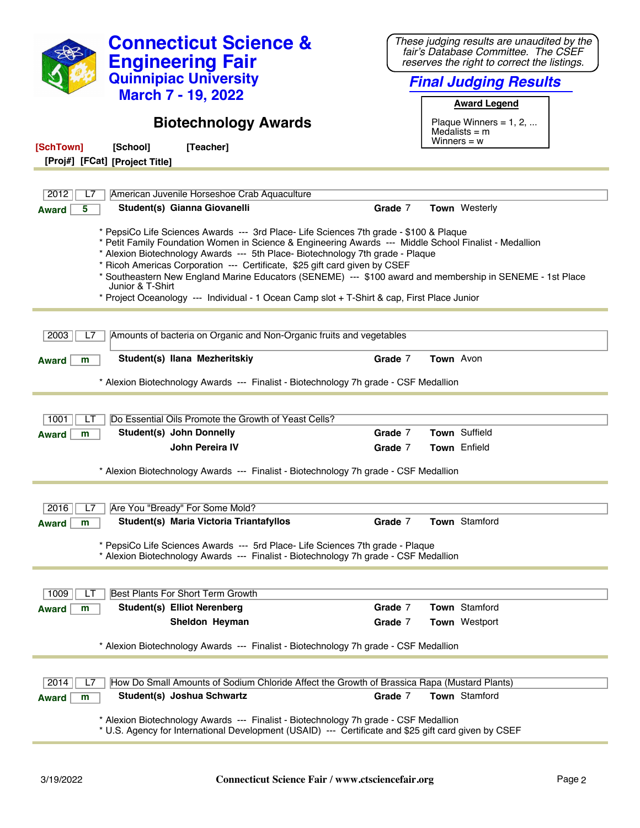| <b>Connecticut Science &amp;</b><br><b>Engineering Fair</b><br><b>Quinnipiac University</b><br><b>March 7 - 19, 2022</b><br><b>Biotechnology Awards</b><br>[SchTown]<br>[Teacher]<br>[School]<br>[Proj#] [FCat] [Project Title]                                                                                                                                                                                                                                                                                                                                                                  | These judging results are unaudited by the<br>fair's Database Committee. The CSEF<br>reserves the right to correct the listings.<br><b>Final Judging Results</b><br><b>Award Legend</b><br>Plaque Winners = $1, 2, $<br>Medalists $=$ m<br>Winners $= w$ |
|--------------------------------------------------------------------------------------------------------------------------------------------------------------------------------------------------------------------------------------------------------------------------------------------------------------------------------------------------------------------------------------------------------------------------------------------------------------------------------------------------------------------------------------------------------------------------------------------------|----------------------------------------------------------------------------------------------------------------------------------------------------------------------------------------------------------------------------------------------------------|
|                                                                                                                                                                                                                                                                                                                                                                                                                                                                                                                                                                                                  |                                                                                                                                                                                                                                                          |
| 2012<br>American Juvenile Horseshoe Crab Aquaculture                                                                                                                                                                                                                                                                                                                                                                                                                                                                                                                                             |                                                                                                                                                                                                                                                          |
| Student(s) Gianna Giovanelli<br><b>Award</b><br>5                                                                                                                                                                                                                                                                                                                                                                                                                                                                                                                                                | <b>Town</b> Westerly<br>Grade 7                                                                                                                                                                                                                          |
| * PepsiCo Life Sciences Awards --- 3rd Place- Life Sciences 7th grade - \$100 & Plaque<br>* Petit Family Foundation Women in Science & Engineering Awards --- Middle School Finalist - Medallion<br>* Alexion Biotechnology Awards --- 5th Place- Biotechnology 7th grade - Plaque<br>* Ricoh Americas Corporation --- Certificate, \$25 gift card given by CSEF<br>* Southeastern New England Marine Educators (SENEME) --- \$100 award and membership in SENEME - 1st Place<br>Junior & T-Shirt<br>* Project Oceanology --- Individual - 1 Ocean Camp slot + T-Shirt & cap, First Place Junior |                                                                                                                                                                                                                                                          |
|                                                                                                                                                                                                                                                                                                                                                                                                                                                                                                                                                                                                  |                                                                                                                                                                                                                                                          |
| Amounts of bacteria on Organic and Non-Organic fruits and vegetables<br>2003<br>L7                                                                                                                                                                                                                                                                                                                                                                                                                                                                                                               |                                                                                                                                                                                                                                                          |
| Student(s) Ilana Mezheritskiy<br><b>Award</b><br>m                                                                                                                                                                                                                                                                                                                                                                                                                                                                                                                                               | Town Avon<br>Grade 7                                                                                                                                                                                                                                     |
| * Alexion Biotechnology Awards --- Finalist - Biotechnology 7h grade - CSF Medallion                                                                                                                                                                                                                                                                                                                                                                                                                                                                                                             |                                                                                                                                                                                                                                                          |
|                                                                                                                                                                                                                                                                                                                                                                                                                                                                                                                                                                                                  |                                                                                                                                                                                                                                                          |
| Do Essential Oils Promote the Growth of Yeast Cells?<br>1001<br>LI                                                                                                                                                                                                                                                                                                                                                                                                                                                                                                                               |                                                                                                                                                                                                                                                          |
| Student(s) John Donnelly<br><b>Award</b><br>m                                                                                                                                                                                                                                                                                                                                                                                                                                                                                                                                                    | Grade 7<br>Town Suffield                                                                                                                                                                                                                                 |
| John Pereira IV                                                                                                                                                                                                                                                                                                                                                                                                                                                                                                                                                                                  | Town Enfield<br>Grade 7                                                                                                                                                                                                                                  |
| * Alexion Biotechnology Awards --- Finalist - Biotechnology 7h grade - CSF Medallion                                                                                                                                                                                                                                                                                                                                                                                                                                                                                                             |                                                                                                                                                                                                                                                          |
|                                                                                                                                                                                                                                                                                                                                                                                                                                                                                                                                                                                                  |                                                                                                                                                                                                                                                          |
| 2016<br>Are You "Bready" For Some Mold?                                                                                                                                                                                                                                                                                                                                                                                                                                                                                                                                                          |                                                                                                                                                                                                                                                          |
| Student(s) Maria Victoria Triantafyllos<br><b>Award</b><br>m                                                                                                                                                                                                                                                                                                                                                                                                                                                                                                                                     | Town Stamford<br>Grade 7                                                                                                                                                                                                                                 |
| * PepsiCo Life Sciences Awards --- 5rd Place- Life Sciences 7th grade - Plaque<br>* Alexion Biotechnology Awards --- Finalist - Biotechnology 7h grade - CSF Medallion                                                                                                                                                                                                                                                                                                                                                                                                                           |                                                                                                                                                                                                                                                          |
|                                                                                                                                                                                                                                                                                                                                                                                                                                                                                                                                                                                                  |                                                                                                                                                                                                                                                          |
| Best Plants For Short Term Growth<br>1009                                                                                                                                                                                                                                                                                                                                                                                                                                                                                                                                                        |                                                                                                                                                                                                                                                          |
| <b>Student(s) Elliot Nerenberg</b><br><b>Award</b><br>m                                                                                                                                                                                                                                                                                                                                                                                                                                                                                                                                          | Town Stamford<br>Grade 7                                                                                                                                                                                                                                 |
| Sheldon Heyman                                                                                                                                                                                                                                                                                                                                                                                                                                                                                                                                                                                   | Grade 7<br>Town Westport                                                                                                                                                                                                                                 |
| * Alexion Biotechnology Awards --- Finalist - Biotechnology 7h grade - CSF Medallion                                                                                                                                                                                                                                                                                                                                                                                                                                                                                                             |                                                                                                                                                                                                                                                          |
|                                                                                                                                                                                                                                                                                                                                                                                                                                                                                                                                                                                                  |                                                                                                                                                                                                                                                          |
| How Do Small Amounts of Sodium Chloride Affect the Growth of Brassica Rapa (Mustard Plants)<br>2014<br>L7                                                                                                                                                                                                                                                                                                                                                                                                                                                                                        |                                                                                                                                                                                                                                                          |
| Student(s) Joshua Schwartz<br><b>Award</b><br>m                                                                                                                                                                                                                                                                                                                                                                                                                                                                                                                                                  | Town Stamford<br>Grade 7                                                                                                                                                                                                                                 |
| * Alexion Biotechnology Awards --- Finalist - Biotechnology 7h grade - CSF Medallion<br>* U.S. Agency for International Development (USAID) --- Certificate and \$25 gift card given by CSEF                                                                                                                                                                                                                                                                                                                                                                                                     |                                                                                                                                                                                                                                                          |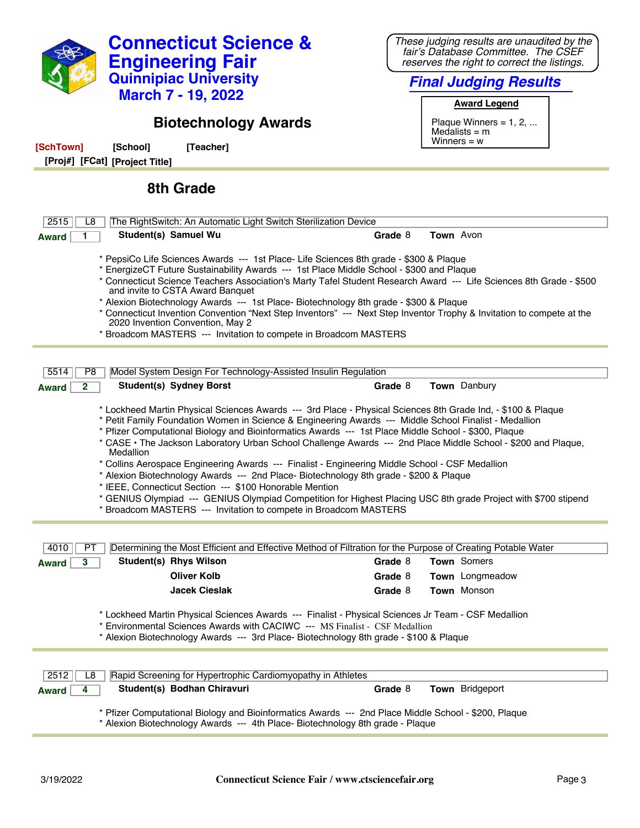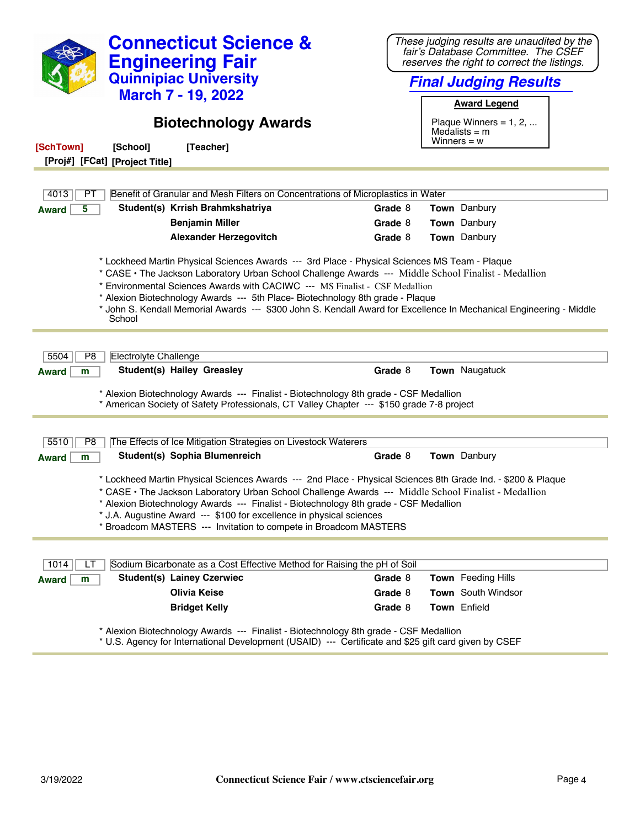|                                                                                                                                                                                                                                                                                                                                                                                                                                                         |                                        | <b>Connecticut Science &amp;</b><br><b>Engineering Fair</b><br><b>Quinnipiac University</b><br><b>March 7 - 19, 2022</b>                                                                           |  |         | These judging results are unaudited by the<br>fair's Database Committee. The CSEF<br>reserves the right to correct the listings.<br><b>Final Judging Results</b><br><b>Award Legend</b> |
|---------------------------------------------------------------------------------------------------------------------------------------------------------------------------------------------------------------------------------------------------------------------------------------------------------------------------------------------------------------------------------------------------------------------------------------------------------|----------------------------------------|----------------------------------------------------------------------------------------------------------------------------------------------------------------------------------------------------|--|---------|-----------------------------------------------------------------------------------------------------------------------------------------------------------------------------------------|
| [SchTown]<br>[Proj#] [FCat] [Project Title]                                                                                                                                                                                                                                                                                                                                                                                                             | [School]                               | <b>Biotechnology Awards</b><br>[Teacher]                                                                                                                                                           |  |         | Plaque Winners = $1, 2, $<br>Medalists $=$ m<br>Winners $= w$                                                                                                                           |
| 4013<br>PТ                                                                                                                                                                                                                                                                                                                                                                                                                                              |                                        | Benefit of Granular and Mesh Filters on Concentrations of Microplastics in Water                                                                                                                   |  |         |                                                                                                                                                                                         |
| 5                                                                                                                                                                                                                                                                                                                                                                                                                                                       |                                        | Student(s) Krrish Brahmkshatriya                                                                                                                                                                   |  | Grade 8 | Town Danbury                                                                                                                                                                            |
| <b>Award</b>                                                                                                                                                                                                                                                                                                                                                                                                                                            |                                        | <b>Benjamin Miller</b>                                                                                                                                                                             |  | Grade 8 | Town Danbury                                                                                                                                                                            |
|                                                                                                                                                                                                                                                                                                                                                                                                                                                         |                                        | <b>Alexander Herzegovitch</b>                                                                                                                                                                      |  | Grade 8 | Town Danbury                                                                                                                                                                            |
| 5504<br>P <sub>8</sub><br><b>Award</b><br>m                                                                                                                                                                                                                                                                                                                                                                                                             | School<br><b>Electrolyte Challenge</b> | * Environmental Sciences Awards with CACIWC --- MS Finalist - CSF Medallion<br>* Alexion Biotechnology Awards --- 5th Place- Biotechnology 8th grade - Plaque<br><b>Student(s) Hailey Greasley</b> |  | Grade 8 | * John S. Kendall Memorial Awards --- \$300 John S. Kendall Award for Excellence In Mechanical Engineering - Middle<br>Town Naugatuck                                                   |
|                                                                                                                                                                                                                                                                                                                                                                                                                                                         |                                        | * Alexion Biotechnology Awards --- Finalist - Biotechnology 8th grade - CSF Medallion<br>* American Society of Safety Professionals, CT Valley Chapter --- \$150 grade 7-8 project                 |  |         |                                                                                                                                                                                         |
| 5510<br>P <sub>8</sub>                                                                                                                                                                                                                                                                                                                                                                                                                                  |                                        | The Effects of Ice Mitigation Strategies on Livestock Waterers                                                                                                                                     |  |         |                                                                                                                                                                                         |
| <b>Award</b><br>m                                                                                                                                                                                                                                                                                                                                                                                                                                       |                                        | Student(s) Sophia Blumenreich                                                                                                                                                                      |  | Grade 8 | Town Danbury                                                                                                                                                                            |
| * Lockheed Martin Physical Sciences Awards --- 2nd Place - Physical Sciences 8th Grade Ind. - \$200 & Plaque<br>* CASE • The Jackson Laboratory Urban School Challenge Awards --- Middle School Finalist - Medallion<br>Alexion Biotechnology Awards --- Finalist - Biotechnology 8th grade - CSF Medallion<br>* J.A. Augustine Award --- \$100 for excellence in physical sciences<br>* Broadcom MASTERS --- Invitation to compete in Broadcom MASTERS |                                        |                                                                                                                                                                                                    |  |         |                                                                                                                                                                                         |
| 1014<br>LI                                                                                                                                                                                                                                                                                                                                                                                                                                              |                                        | Sodium Bicarbonate as a Cost Effective Method for Raising the pH of Soil                                                                                                                           |  |         |                                                                                                                                                                                         |
| <b>Award</b><br>m                                                                                                                                                                                                                                                                                                                                                                                                                                       |                                        | <b>Student(s) Lainey Czerwiec</b>                                                                                                                                                                  |  | Grade 8 | Town Feeding Hills                                                                                                                                                                      |
|                                                                                                                                                                                                                                                                                                                                                                                                                                                         |                                        | <b>Olivia Keise</b>                                                                                                                                                                                |  | Grade 8 | Town South Windsor                                                                                                                                                                      |
|                                                                                                                                                                                                                                                                                                                                                                                                                                                         |                                        | <b>Bridget Kelly</b>                                                                                                                                                                               |  | Grade 8 | Town Enfield                                                                                                                                                                            |
|                                                                                                                                                                                                                                                                                                                                                                                                                                                         |                                        | * Alexion Biotechnology Awards --- Finalist - Biotechnology 8th grade - CSF Medallion                                                                                                              |  |         |                                                                                                                                                                                         |

\* U.S. Agency for International Development (USAID) --- Certificate and \$25 gift card given by CSEF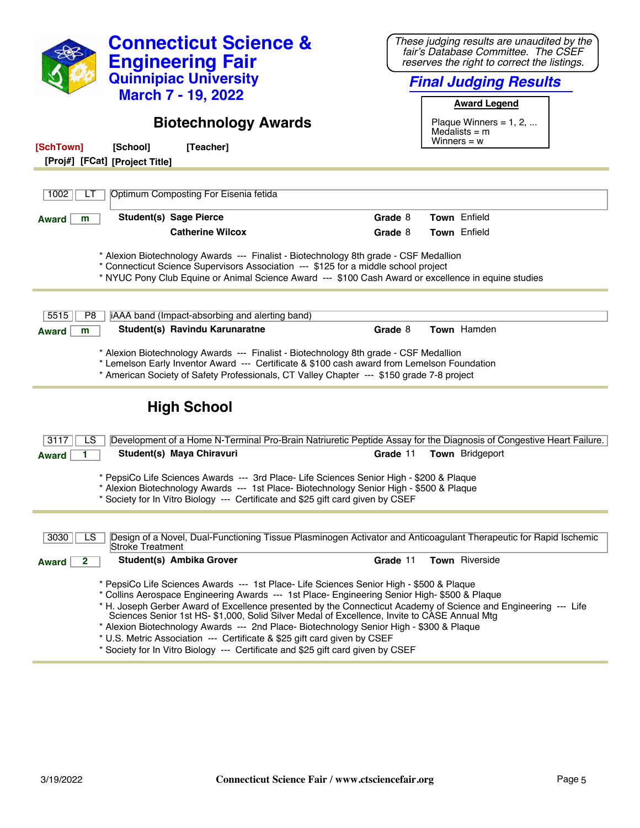| <b>Connecticut Science &amp;</b><br><b>Engineering Fair</b><br><b>Quinnipiac University</b><br><b>March 7 - 19, 2022</b><br><b>Biotechnology Awards</b><br>[SchTown]<br>[School]<br>[Teacher]<br>[Proj#] [FCat] [Project Title]                                                                                                                                                                                                                                                                                                                                                                                                                                         | These judging results are unaudited by the<br>fair's Database Committee. The CSEF<br>reserves the right to correct the listings.<br><b>Final Judging Results</b><br><b>Award Legend</b><br>Plaque Winners = $1, 2, $<br>Medalists $=$ m<br>Winners = $w$ |
|-------------------------------------------------------------------------------------------------------------------------------------------------------------------------------------------------------------------------------------------------------------------------------------------------------------------------------------------------------------------------------------------------------------------------------------------------------------------------------------------------------------------------------------------------------------------------------------------------------------------------------------------------------------------------|----------------------------------------------------------------------------------------------------------------------------------------------------------------------------------------------------------------------------------------------------------|
|                                                                                                                                                                                                                                                                                                                                                                                                                                                                                                                                                                                                                                                                         |                                                                                                                                                                                                                                                          |
| Optimum Composting For Eisenia fetida<br>1002<br>LТ                                                                                                                                                                                                                                                                                                                                                                                                                                                                                                                                                                                                                     |                                                                                                                                                                                                                                                          |
| <b>Student(s) Sage Pierce</b><br><b>Award</b><br>m                                                                                                                                                                                                                                                                                                                                                                                                                                                                                                                                                                                                                      | Town Enfield<br>Grade 8                                                                                                                                                                                                                                  |
| <b>Catherine Wilcox</b>                                                                                                                                                                                                                                                                                                                                                                                                                                                                                                                                                                                                                                                 | Grade 8<br><b>Town</b> Enfield                                                                                                                                                                                                                           |
| * Alexion Biotechnology Awards --- Finalist - Biotechnology 8th grade - CSF Medallion<br>* Connecticut Science Supervisors Association --- \$125 for a middle school project<br>* NYUC Pony Club Equine or Animal Science Award --- \$100 Cash Award or excellence in equine studies                                                                                                                                                                                                                                                                                                                                                                                    |                                                                                                                                                                                                                                                          |
| 5515<br>iAAA band (Impact-absorbing and alerting band)<br>P8                                                                                                                                                                                                                                                                                                                                                                                                                                                                                                                                                                                                            |                                                                                                                                                                                                                                                          |
| Student(s) Ravindu Karunaratne<br><b>Award</b><br>m                                                                                                                                                                                                                                                                                                                                                                                                                                                                                                                                                                                                                     | Grade 8<br>Town Hamden                                                                                                                                                                                                                                   |
| * Alexion Biotechnology Awards --- Finalist - Biotechnology 8th grade - CSF Medallion<br>* Lemelson Early Inventor Award --- Certificate & \$100 cash award from Lemelson Foundation<br>* American Society of Safety Professionals, CT Valley Chapter --- \$150 grade 7-8 project                                                                                                                                                                                                                                                                                                                                                                                       |                                                                                                                                                                                                                                                          |
| <b>High School</b>                                                                                                                                                                                                                                                                                                                                                                                                                                                                                                                                                                                                                                                      |                                                                                                                                                                                                                                                          |
| 3117<br>Development of a Home N-Terminal Pro-Brain Natriuretic Peptide Assay for the Diagnosis of Congestive Heart Failure.<br>LS                                                                                                                                                                                                                                                                                                                                                                                                                                                                                                                                       |                                                                                                                                                                                                                                                          |
| Student(s) Maya Chiravuri<br><b>Award</b>                                                                                                                                                                                                                                                                                                                                                                                                                                                                                                                                                                                                                               | Grade 11<br><b>Town</b> Bridgeport                                                                                                                                                                                                                       |
| * PepsiCo Life Sciences Awards --- 3rd Place- Life Sciences Senior High - \$200 & Plaque<br>* Alexion Biotechnology Awards --- 1st Place- Biotechnology Senior High - \$500 & Plaque<br>* Society for In Vitro Biology --- Certificate and \$25 gift card given by CSEF                                                                                                                                                                                                                                                                                                                                                                                                 |                                                                                                                                                                                                                                                          |
| Design of a Novel, Dual-Functioning Tissue Plasminogen Activator and Anticoagulant Therapeutic for Rapid Ischemic<br>3030<br>LS<br>Stroke Treatment                                                                                                                                                                                                                                                                                                                                                                                                                                                                                                                     |                                                                                                                                                                                                                                                          |
| Student(s) Ambika Grover<br>2<br><b>Award</b>                                                                                                                                                                                                                                                                                                                                                                                                                                                                                                                                                                                                                           | Town Riverside<br>Grade 11                                                                                                                                                                                                                               |
| * PepsiCo Life Sciences Awards --- 1st Place- Life Sciences Senior High - \$500 & Plaque<br>* Collins Aerospace Engineering Awards --- 1st Place- Engineering Senior High- \$500 & Plaque<br>* H. Joseph Gerber Award of Excellence presented by the Connecticut Academy of Science and Engineering --- Life<br>Sciences Senior 1st HS- \$1,000, Solid Silver Medal of Excellence, Invite to CASE Annual Mtg<br>* Alexion Biotechnology Awards --- 2nd Place- Biotechnology Senior High - \$300 & Plaque<br>* U.S. Metric Association --- Certificate & \$25 gift card given by CSEF<br>* Society for In Vitro Biology --- Certificate and \$25 gift card given by CSEF |                                                                                                                                                                                                                                                          |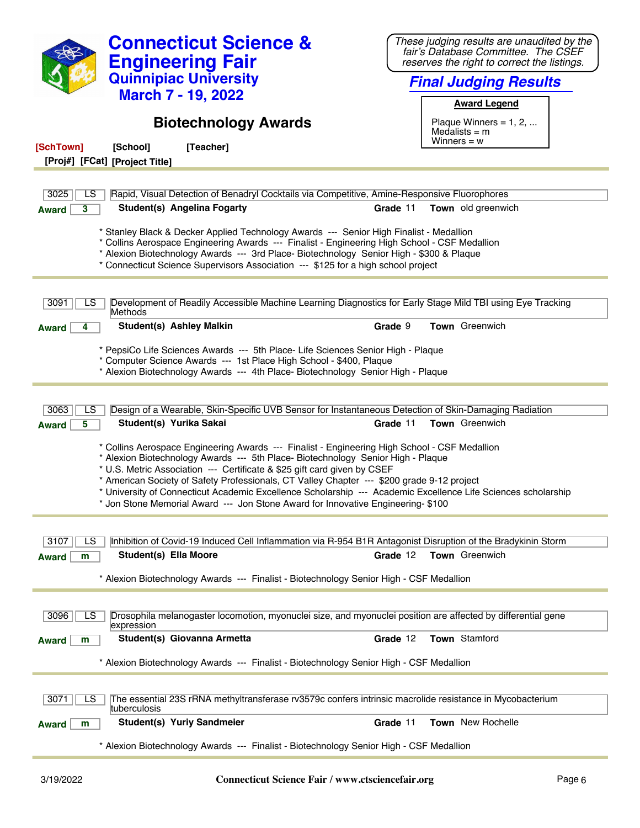| <b>Connecticut Science &amp;</b><br><b>Engineering Fair</b><br><b>Quinnipiac University</b><br><b>March 7 - 19, 2022</b><br><b>Biotechnology Awards</b>                                                                                                                                                                                                                                                                                                                                                                                                          | These judging results are unaudited by the<br>fair's Database Committee. The CSEF<br>reserves the right to correct the listings.<br><b>Final Judging Results</b><br><b>Award Legend</b><br>Plaque Winners = $1, 2, $<br>Medalists $=$ m<br>Winners $= w$ |  |
|------------------------------------------------------------------------------------------------------------------------------------------------------------------------------------------------------------------------------------------------------------------------------------------------------------------------------------------------------------------------------------------------------------------------------------------------------------------------------------------------------------------------------------------------------------------|----------------------------------------------------------------------------------------------------------------------------------------------------------------------------------------------------------------------------------------------------------|--|
| [SchTown]<br>[School]<br>[Teacher]                                                                                                                                                                                                                                                                                                                                                                                                                                                                                                                               |                                                                                                                                                                                                                                                          |  |
| [Proj#] [FCat] [Project Title]                                                                                                                                                                                                                                                                                                                                                                                                                                                                                                                                   |                                                                                                                                                                                                                                                          |  |
| 3025<br>Rapid, Visual Detection of Benadryl Cocktails via Competitive, Amine-Responsive Fluorophores<br>LS                                                                                                                                                                                                                                                                                                                                                                                                                                                       |                                                                                                                                                                                                                                                          |  |
| <b>Student(s) Angelina Fogarty</b><br>3<br><b>Award</b>                                                                                                                                                                                                                                                                                                                                                                                                                                                                                                          | Grade 11<br>Town old greenwich                                                                                                                                                                                                                           |  |
| * Stanley Black & Decker Applied Technology Awards --- Senior High Finalist - Medallion<br>* Collins Aerospace Engineering Awards --- Finalist - Engineering High School - CSF Medallion<br>* Alexion Biotechnology Awards --- 3rd Place- Biotechnology Senior High - \$300 & Plaque<br>* Connecticut Science Supervisors Association --- \$125 for a high school project                                                                                                                                                                                        |                                                                                                                                                                                                                                                          |  |
| Development of Readily Accessible Machine Learning Diagnostics for Early Stage Mild TBI using Eye Tracking<br>3091<br>LS<br>Methods                                                                                                                                                                                                                                                                                                                                                                                                                              |                                                                                                                                                                                                                                                          |  |
| <b>Student(s) Ashley Malkin</b><br><b>Award</b>                                                                                                                                                                                                                                                                                                                                                                                                                                                                                                                  | Grade 9<br><b>Town</b> Greenwich                                                                                                                                                                                                                         |  |
| * PepsiCo Life Sciences Awards --- 5th Place- Life Sciences Senior High - Plaque<br>* Computer Science Awards --- 1st Place High School - \$400, Plaque<br>* Alexion Biotechnology Awards --- 4th Place- Biotechnology Senior High - Plaque                                                                                                                                                                                                                                                                                                                      |                                                                                                                                                                                                                                                          |  |
| Design of a Wearable, Skin-Specific UVB Sensor for Instantaneous Detection of Skin-Damaging Radiation<br>3063<br>LS                                                                                                                                                                                                                                                                                                                                                                                                                                              |                                                                                                                                                                                                                                                          |  |
| Student(s) Yurika Sakai<br>5<br><b>Award</b>                                                                                                                                                                                                                                                                                                                                                                                                                                                                                                                     | <b>Town</b> Greenwich<br>Grade 11                                                                                                                                                                                                                        |  |
| * Collins Aerospace Engineering Awards --- Finalist - Engineering High School - CSF Medallion<br>* Alexion Biotechnology Awards --- 5th Place- Biotechnology Senior High - Plaque<br>* U.S. Metric Association --- Certificate & \$25 gift card given by CSEF<br>* American Society of Safety Professionals, CT Valley Chapter --- \$200 grade 9-12 project<br>* University of Connecticut Academic Excellence Scholarship --- Academic Excellence Life Sciences scholarship<br>* Jon Stone Memorial Award --- Jon Stone Award for Innovative Engineering- \$100 |                                                                                                                                                                                                                                                          |  |
| Inhibition of Covid-19 Induced Cell Inflammation via R-954 B1R Antagonist Disruption of the Bradykinin Storm<br>3107<br>LS                                                                                                                                                                                                                                                                                                                                                                                                                                       |                                                                                                                                                                                                                                                          |  |
| <b>Student(s) Ella Moore</b><br><b>Award</b><br>m                                                                                                                                                                                                                                                                                                                                                                                                                                                                                                                | Grade 12<br><b>Town</b> Greenwich                                                                                                                                                                                                                        |  |
| * Alexion Biotechnology Awards --- Finalist - Biotechnology Senior High - CSF Medallion                                                                                                                                                                                                                                                                                                                                                                                                                                                                          |                                                                                                                                                                                                                                                          |  |
| Drosophila melanogaster locomotion, myonuclei size, and myonuclei position are affected by differential gene<br>3096<br>LS.<br>expression                                                                                                                                                                                                                                                                                                                                                                                                                        |                                                                                                                                                                                                                                                          |  |
| Student(s) Giovanna Armetta<br><b>Award</b><br>m                                                                                                                                                                                                                                                                                                                                                                                                                                                                                                                 | Town Stamford<br>Grade 12                                                                                                                                                                                                                                |  |
| * Alexion Biotechnology Awards --- Finalist - Biotechnology Senior High - CSF Medallion                                                                                                                                                                                                                                                                                                                                                                                                                                                                          |                                                                                                                                                                                                                                                          |  |
| The essential 23S rRNA methyltransferase rv3579c confers intrinsic macrolide resistance in Mycobacterium<br>3071<br>LS<br>tuberculosis                                                                                                                                                                                                                                                                                                                                                                                                                           |                                                                                                                                                                                                                                                          |  |
| <b>Student(s) Yuriy Sandmeier</b><br><b>Award</b><br>m                                                                                                                                                                                                                                                                                                                                                                                                                                                                                                           | Grade 11<br><b>Town</b> New Rochelle                                                                                                                                                                                                                     |  |
| * Alexion Biotechnology Awards --- Finalist - Biotechnology Senior High - CSF Medallion                                                                                                                                                                                                                                                                                                                                                                                                                                                                          |                                                                                                                                                                                                                                                          |  |